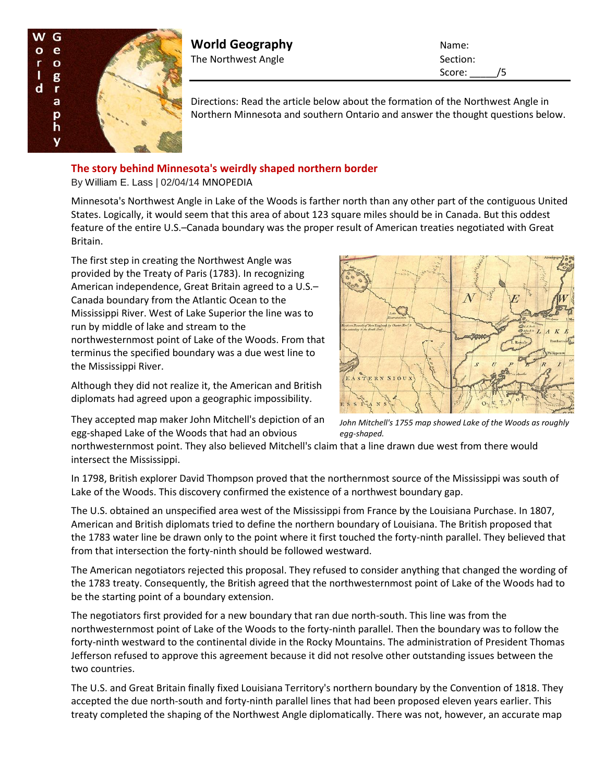

**World Geography** Name: The Northwest Angle Section: Section:

Score: /5

Directions: Read the article below about the formation of the Northwest Angle in Northern Minnesota and southern Ontario and answer the thought questions below.

## **The story behind Minnesota's weirdly shaped northern border**

By William E. Lass | 02/04/14 MNOPEDIA

Minnesota's Northwest Angle in Lake of the Woods is farther north than any other part of the contiguous United States. Logically, it would seem that this area of about 123 square miles should be in Canada. But this oddest feature of the entire U.S.–Canada boundary was the proper result of American treaties negotiated with Great Britain.

The first step in creating the Northwest Angle was provided by the Treaty of Paris (1783). In recognizing American independence, Great Britain agreed to a U.S.– Canada boundary from the Atlantic Ocean to the Mississippi River. West of Lake Superior the line was to run by middle of lake and stream to the northwesternmost point of Lake of the Woods. From that terminus the specified boundary was a due west line to the Mississippi River.

Although they did not realize it, the American and British diplomats had agreed upon a geographic impossibility.



They accepted map maker John Mitchell's depiction of an egg-shaped Lake of the Woods that had an obvious

*John Mitchell's 1755 map showed Lake of the Woods as roughly egg-shaped.*

northwesternmost point. They also believed Mitchell's claim that a line drawn due west from there would intersect the Mississippi.

In 1798, British explorer David Thompson proved that the northernmost source of the Mississippi was south of Lake of the Woods. This discovery confirmed the existence of a northwest boundary gap.

The U.S. obtained an unspecified area west of the Mississippi from France by the Louisiana Purchase. In 1807, American and British diplomats tried to define the northern boundary of Louisiana. The British proposed that the 1783 water line be drawn only to the point where it first touched the forty-ninth parallel. They believed that from that intersection the forty-ninth should be followed westward.

The American negotiators rejected this proposal. They refused to consider anything that changed the wording of the 1783 treaty. Consequently, the British agreed that the northwesternmost point of Lake of the Woods had to be the starting point of a boundary extension.

The negotiators first provided for a new boundary that ran due north-south. This line was from the northwesternmost point of Lake of the Woods to the forty-ninth parallel. Then the boundary was to follow the forty-ninth westward to the continental divide in the Rocky Mountains. The administration of President Thomas Jefferson refused to approve this agreement because it did not resolve other outstanding issues between the two countries.

The U.S. and Great Britain finally fixed Louisiana Territory's northern boundary by the Convention of 1818. They accepted the due north-south and forty-ninth parallel lines that had been proposed eleven years earlier. This treaty completed the shaping of the Northwest Angle diplomatically. There was not, however, an accurate map